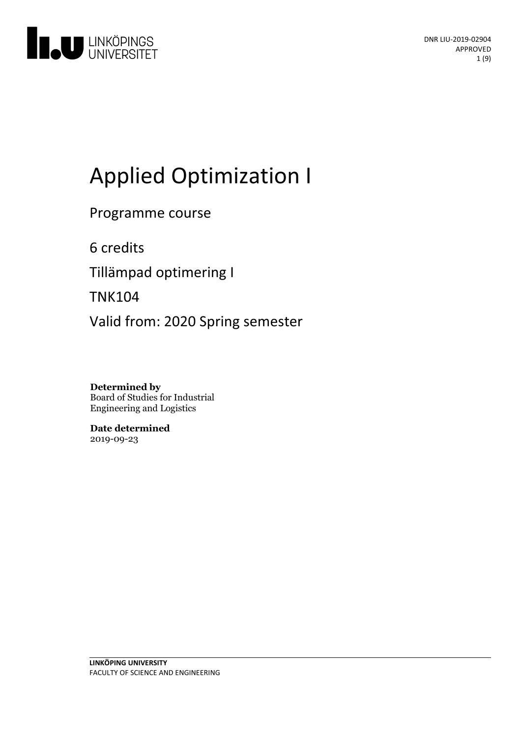

# Applied Optimization I

Programme course

6 credits

Tillämpad optimering I

TNK104

Valid from: 2020 Spring semester

**Determined by** Board of Studies for Industrial Engineering and Logistics

**Date determined** 2019-09-23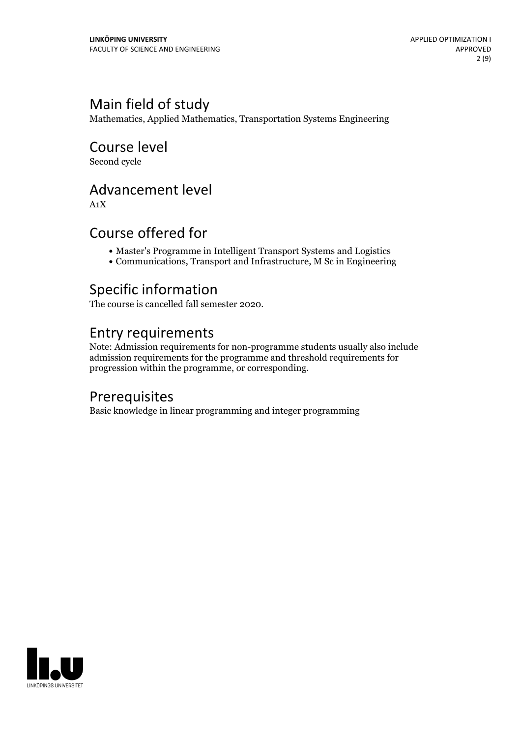# Main field of study

Mathematics, Applied Mathematics, Transportation Systems Engineering

Course level Second cycle

# Advancement level

A1X

### Course offered for

- Master's Programme in Intelligent Transport Systems and Logistics
- Communications, Transport and Infrastructure, M Sc in Engineering

# Specific information

The course is cancelled fall semester 2020.

### Entry requirements

Note: Admission requirements for non-programme students usually also include admission requirements for the programme and threshold requirements for progression within the programme, or corresponding.

# **Prerequisites**

Basic knowledge in linear programming and integer programming

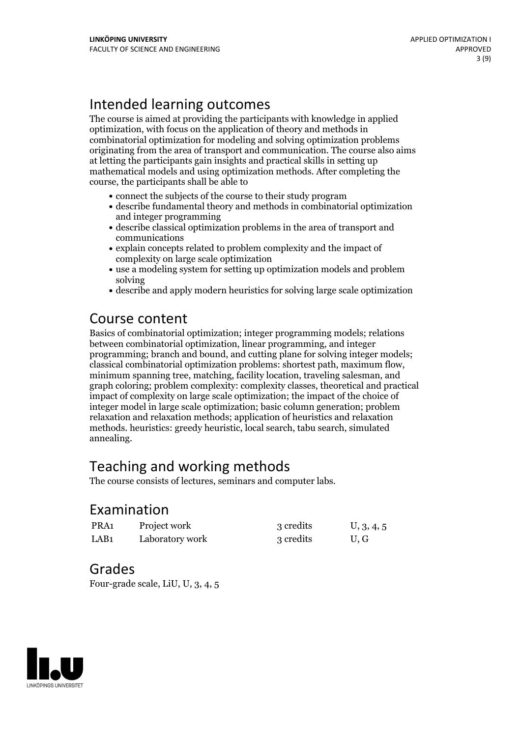# Intended learning outcomes

The course is aimed at providing the participants with knowledge in applied optimization, with focus on the application of theory and methods in combinatorial optimization for modeling and solving optimization problems originating from the area of transport and communication. The course also aims at letting the participants gain insights and practical skills in setting up mathematical models and using optimization methods. After completing the course, the participants shall be able to

- connect the subjects of the course to their study program
- describe fundamental theory and methods in combinatorial optimization and integer programming
- describe classical optimization problems in the area of transport and communications
- explain concepts related to problem complexity and the impact of complexity on large scale optimization
- use a modeling system for setting up optimization models and problem solving
- describe and apply modern heuristics for solving large scale optimization

# Course content

Basics of combinatorial optimization; integer programming models; relations between combinatorial optimization, linear programming, and integer programming; branch and bound, and cutting plane for solving integer models; classical combinatorial optimization problems: shortest path, maximum flow, minimum spanning tree, matching, facility location, traveling salesman, and graph coloring; problem complexity: complexity classes, theoretical and practical impact of complexity on large scale optimization; the impact of the choice of integer model in large scale optimization; basic column generation; problem relaxation and relaxation methods; application of heuristics and relaxation methods. heuristics: greedy heuristic, local search, tabu search, simulated annealing.

# Teaching and working methods

The course consists of lectures, seminars and computer labs.

### Examination

| PRA1             | Project work    | 3 credits | U, 3, 4, 5 |
|------------------|-----------------|-----------|------------|
| LAB <sub>1</sub> | Laboratory work | 3 credits | U, G       |

### Grades

Four-grade scale, LiU, U, 3, 4, 5

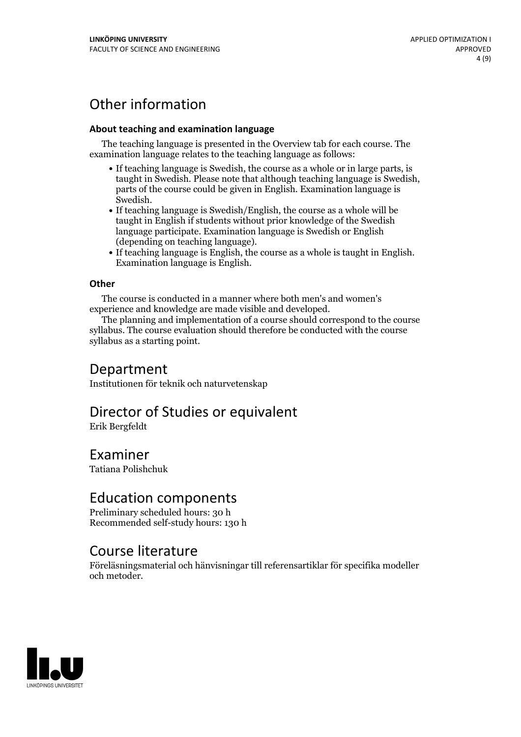# Other information

#### **About teaching and examination language**

The teaching language is presented in the Overview tab for each course. The examination language relates to the teaching language as follows:

- If teaching language is Swedish, the course as a whole or in large parts, is taught in Swedish. Please note that although teaching language is Swedish, parts of the course could be given in English. Examination language is
- Swedish.<br>• If teaching language is Swedish/English, the course as a whole will be taught in English if students without prior knowledge of the Swedish language participate. Examination language is Swedish or English
- $\bullet$  If teaching language is English, the course as a whole is taught in English. Examination language is English.

#### **Other**

The course is conducted in a manner where both men's and women's

experience and knowledge are made visible and developed. The planning and implementation of <sup>a</sup> course should correspond to the course syllabus. The course evaluation should therefore be conducted with the course syllabus as a starting point.

### Department

Institutionen för teknik och naturvetenskap

# Director of Studies or equivalent

Erik Bergfeldt

# Examiner

Tatiana Polishchuk

### Education components

Preliminary scheduled hours: 30 h Recommended self-study hours: 130 h

# Course literature

Föreläsningsmaterial och hänvisningar till referensartiklar för specifika modeller och metoder.

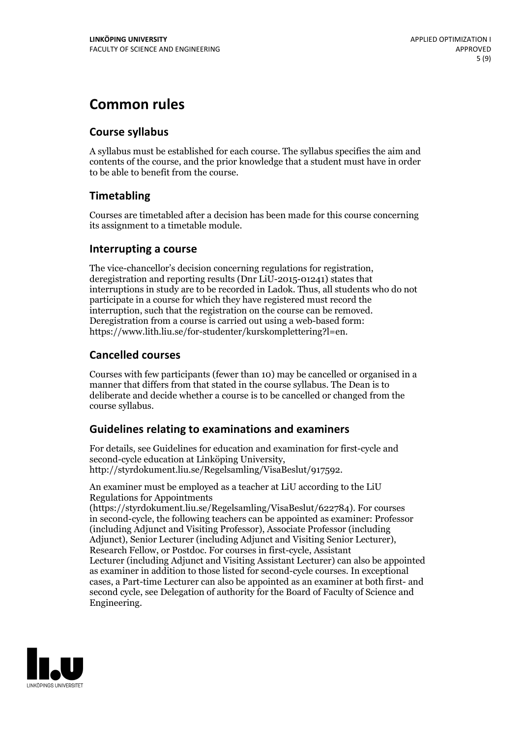# **Common rules**

#### **Course syllabus**

A syllabus must be established for each course. The syllabus specifies the aim and contents of the course, and the prior knowledge that a student must have in order to be able to benefit from the course.

### **Timetabling**

Courses are timetabled after a decision has been made for this course concerning its assignment to a timetable module.

#### **Interrupting a course**

The vice-chancellor's decision concerning regulations for registration, deregistration and reporting results (Dnr LiU-2015-01241) states that interruptions in study are to be recorded in Ladok. Thus, all students who do not participate in a course for which they have registered must record the interruption, such that the registration on the course can be removed. Deregistration from <sup>a</sup> course is carried outusing <sup>a</sup> web-based form: https://www.lith.liu.se/for-studenter/kurskomplettering?l=en.

### **Cancelled courses**

Courses with few participants (fewer than 10) may be cancelled or organised in a manner that differs from that stated in the course syllabus. The Dean is to deliberate and decide whether a course is to be cancelled or changed from the course syllabus.

### **Guidelines relatingto examinations and examiners**

For details, see Guidelines for education and examination for first-cycle and second-cycle education at Linköping University, http://styrdokument.liu.se/Regelsamling/VisaBeslut/917592.

An examiner must be employed as a teacher at LiU according to the LiU Regulations for Appointments

(https://styrdokument.liu.se/Regelsamling/VisaBeslut/622784). For courses in second-cycle, the following teachers can be appointed as examiner: Professor (including Adjunct and Visiting Professor), Associate Professor (including Adjunct), Senior Lecturer (including Adjunct and Visiting Senior Lecturer), Research Fellow, or Postdoc. For courses in first-cycle, Assistant Lecturer (including Adjunct and Visiting Assistant Lecturer) can also be appointed as examiner in addition to those listed for second-cycle courses. In exceptional cases, a Part-time Lecturer can also be appointed as an examiner at both first- and second cycle, see Delegation of authority for the Board of Faculty of Science and Engineering.

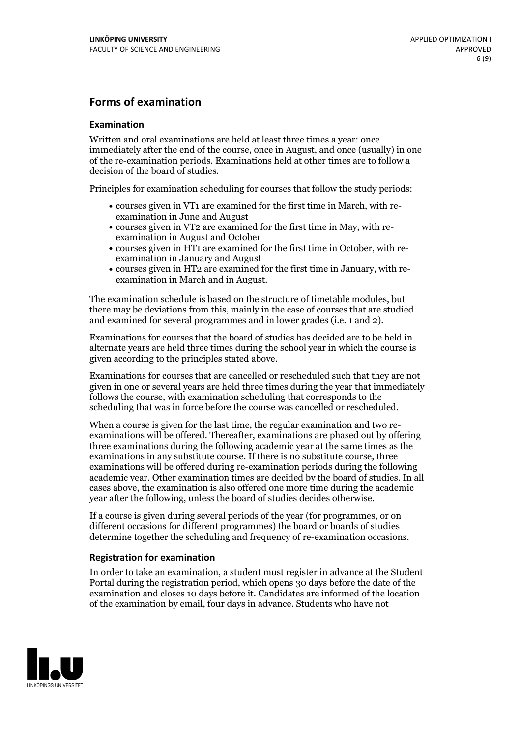#### **Forms of examination**

#### **Examination**

Written and oral examinations are held at least three times a year: once immediately after the end of the course, once in August, and once (usually) in one of the re-examination periods. Examinations held at other times are to follow a decision of the board of studies.

Principles for examination scheduling for courses that follow the study periods:

- courses given in VT1 are examined for the first time in March, with re-examination in June and August
- courses given in VT2 are examined for the first time in May, with re-examination in August and October
- courses given in HT1 are examined for the first time in October, with re-examination in January and August
- courses given in HT2 are examined for the first time in January, with re-examination in March and in August.

The examination schedule is based on the structure of timetable modules, but there may be deviations from this, mainly in the case of courses that are studied and examined for several programmes and in lower grades (i.e. 1 and 2).

Examinations for courses that the board of studies has decided are to be held in alternate years are held three times during the school year in which the course is given according to the principles stated above.

Examinations for courses that are cancelled orrescheduled such that they are not given in one or several years are held three times during the year that immediately follows the course, with examination scheduling that corresponds to the scheduling that was in force before the course was cancelled or rescheduled.

When a course is given for the last time, the regular examination and two re-<br>examinations will be offered. Thereafter, examinations are phased out by offering three examinations during the following academic year at the same times as the examinations in any substitute course. If there is no substitute course, three examinations will be offered during re-examination periods during the following academic year. Other examination times are decided by the board of studies. In all cases above, the examination is also offered one more time during the academic year after the following, unless the board of studies decides otherwise.

If a course is given during several periods of the year (for programmes, or on different occasions for different programmes) the board or boards of studies determine together the scheduling and frequency of re-examination occasions.

#### **Registration for examination**

In order to take an examination, a student must register in advance at the Student Portal during the registration period, which opens 30 days before the date of the examination and closes 10 days before it. Candidates are informed of the location of the examination by email, four days in advance. Students who have not

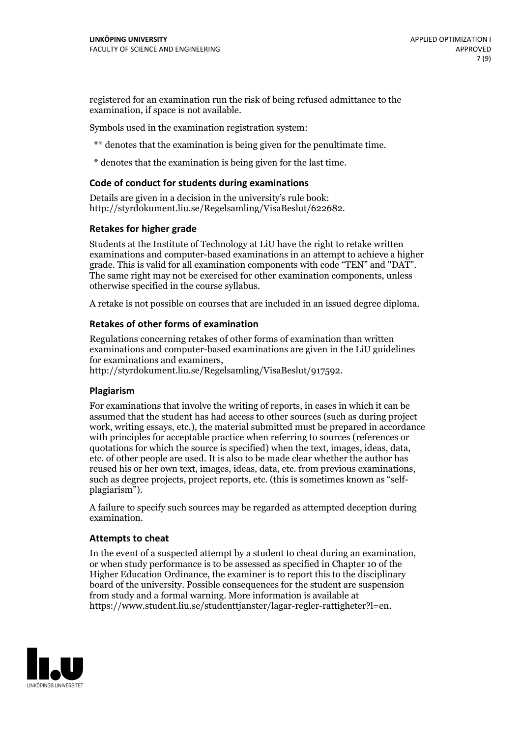registered for an examination run the risk of being refused admittance to the examination, if space is not available.

Symbols used in the examination registration system:

\*\* denotes that the examination is being given for the penultimate time.

\* denotes that the examination is being given for the last time.

#### **Code of conduct for students during examinations**

Details are given in a decision in the university's rule book: http://styrdokument.liu.se/Regelsamling/VisaBeslut/622682.

#### **Retakes for higher grade**

Students at the Institute of Technology at LiU have the right to retake written examinations and computer-based examinations in an attempt to achieve a higher grade. This is valid for all examination components with code "TEN" and "DAT". The same right may not be exercised for other examination components, unless otherwise specified in the course syllabus.

A retake is not possible on courses that are included in an issued degree diploma.

#### **Retakes of other forms of examination**

Regulations concerning retakes of other forms of examination than written examinations and computer-based examinations are given in the LiU guidelines

http://styrdokument.liu.se/Regelsamling/VisaBeslut/917592.

#### **Plagiarism**

For examinations that involve the writing of reports, in cases in which it can be assumed that the student has had access to other sources (such as during project work, writing essays, etc.), the material submitted must be prepared in accordance with principles for acceptable practice when referring to sources (references or quotations for which the source is specified) when the text, images, ideas, data,  $\vec{e}$  etc. of other people are used. It is also to be made clear whether the author has reused his or her own text, images, ideas, data, etc. from previous examinations, such as degree projects, project reports, etc. (this is sometimes known as "self- plagiarism").

A failure to specify such sources may be regarded as attempted deception during examination.

#### **Attempts to cheat**

In the event of <sup>a</sup> suspected attempt by <sup>a</sup> student to cheat during an examination, or when study performance is to be assessed as specified in Chapter <sup>10</sup> of the Higher Education Ordinance, the examiner is to report this to the disciplinary board of the university. Possible consequences for the student are suspension from study and a formal warning. More information is available at https://www.student.liu.se/studenttjanster/lagar-regler-rattigheter?l=en.

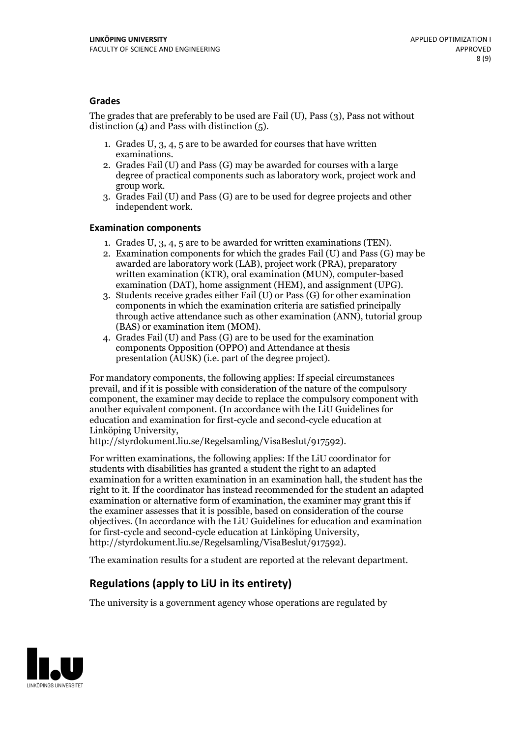#### **Grades**

The grades that are preferably to be used are Fail (U), Pass (3), Pass not without distinction  $(4)$  and Pass with distinction  $(5)$ .

- 1. Grades U, 3, 4, 5 are to be awarded for courses that have written
- examinations. 2. Grades Fail (U) and Pass (G) may be awarded for courses with <sup>a</sup> large degree of practical components such as laboratory work, project work and group work. 3. Grades Fail (U) and Pass (G) are to be used for degree projects and other
- independent work.

#### **Examination components**

- 
- 1. Grades U, 3, 4, <sup>5</sup> are to be awarded for written examinations (TEN). 2. Examination components for which the grades Fail (U) and Pass (G) may be awarded are laboratory work (LAB), project work (PRA), preparatory written examination (KTR), oral examination (MUN), computer-based
- examination (DAT), home assignment (HEM), and assignment (UPG). 3. Students receive grades either Fail (U) or Pass (G) for other examination components in which the examination criteria are satisfied principally through active attendance such as other examination (ANN), tutorial group
- (BAS) or examination item (MOM). 4. Grades Fail (U) and Pass (G) are to be used for the examination components Opposition (OPPO) and Attendance at thesis presentation (AUSK) (i.e. part of the degree project).

For mandatory components, the following applies: If special circumstances prevail, and if it is possible with consideration of the nature of the compulsory component, the examiner may decide to replace the compulsory component with another equivalent component. (In accordance with the LiU Guidelines for education and examination for first-cycle and second-cycle education at Linköping University, http://styrdokument.liu.se/Regelsamling/VisaBeslut/917592).

For written examinations, the following applies: If the LiU coordinator for students with disabilities has granted a student the right to an adapted examination for a written examination in an examination hall, the student has the right to it. If the coordinator has instead recommended for the student an adapted examination or alternative form of examination, the examiner may grant this if the examiner assesses that it is possible, based on consideration of the course objectives. (In accordance with the LiU Guidelines for education and examination for first-cycle and second-cycle education at Linköping University, http://styrdokument.liu.se/Regelsamling/VisaBeslut/917592).

The examination results for a student are reported at the relevant department.

### **Regulations (applyto LiU in its entirety)**

The university is a government agency whose operations are regulated by